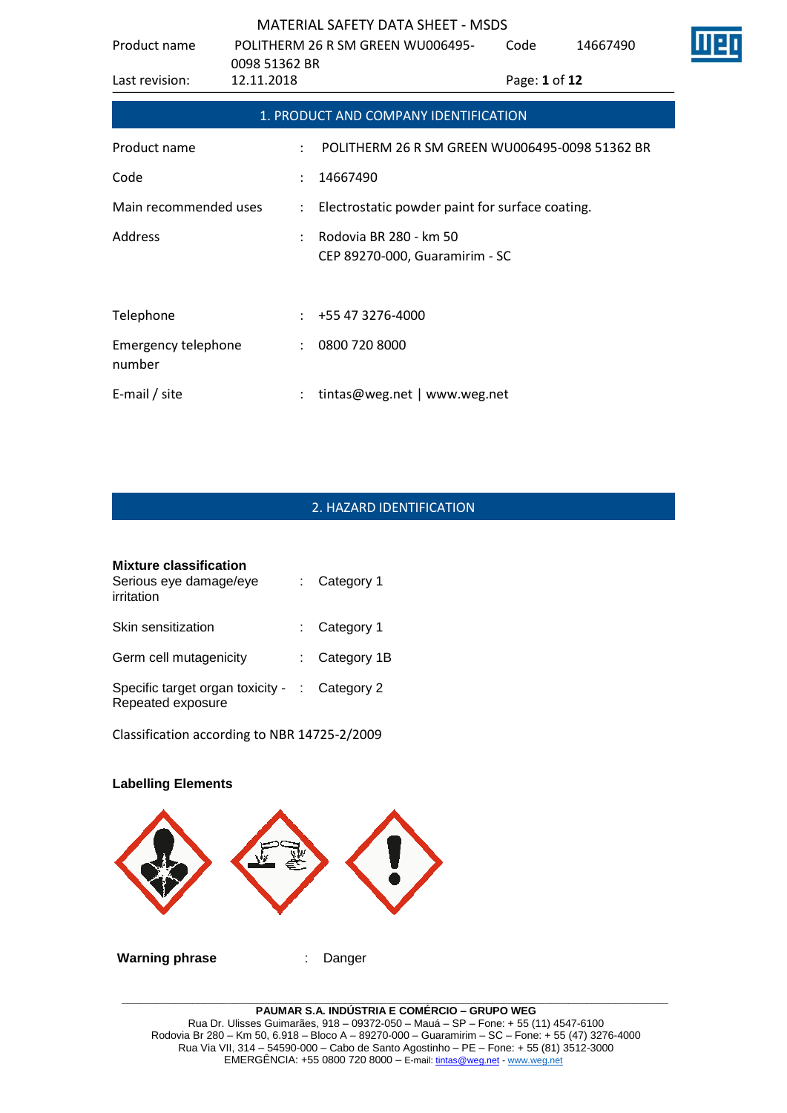| Product name                  | 0098 51362 BR | POLITHERM 26 R SM GREEN WU006495-                        | Code          | 14667490 |  |
|-------------------------------|---------------|----------------------------------------------------------|---------------|----------|--|
| Last revision:                | 12.11.2018    |                                                          | Page: 1 of 12 |          |  |
|                               |               | 1. PRODUCT AND COMPANY IDENTIFICATION                    |               |          |  |
| Product name                  |               | POLITHERM 26 R SM GREEN WU006495-0098 51362 BR           |               |          |  |
| Code                          |               | 14667490                                                 |               |          |  |
| Main recommended uses         | $\mathcal{L}$ | Electrostatic powder paint for surface coating.          |               |          |  |
| Address                       |               | Rodovia BR 280 - km 50<br>CEP 89270-000, Guaramirim - SC |               |          |  |
| Telephone                     |               | +55 47 3276-4000                                         |               |          |  |
| Emergency telephone<br>number |               | 0800 720 8000                                            |               |          |  |
| E-mail / site                 |               | tintas@weg.net   www.weg.net                             |               |          |  |

# 2. HAZARD IDENTIFICATION

| <b>Mixture classification</b><br>Serious eye damage/eye<br>irritation | : Category 1    |
|-----------------------------------------------------------------------|-----------------|
| Skin sensitization                                                    | $:$ Category 1  |
| Germ cell mutagenicity                                                | : Category $1B$ |
| Specific target organ toxicity - : Category 2<br>Repeated exposure    |                 |

Classification according to NBR 14725-2/2009

# **Labelling Elements Warning phrase** : Danger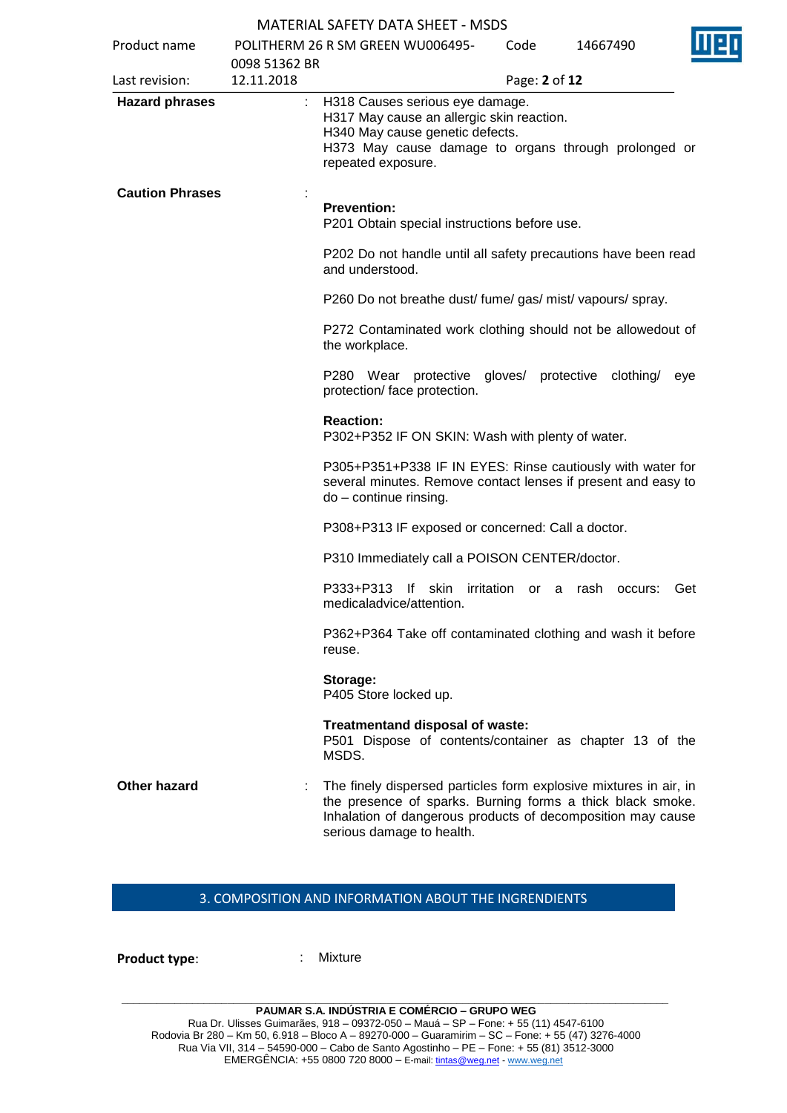| Product name           |                             | POLITHERM 26 R SM GREEN WU006495-                                                                                                                                                                                           | Code          | 14667490           |                  |
|------------------------|-----------------------------|-----------------------------------------------------------------------------------------------------------------------------------------------------------------------------------------------------------------------------|---------------|--------------------|------------------|
| Last revision:         | 0098 51362 BR<br>12.11.2018 |                                                                                                                                                                                                                             |               | Page: 2 of 12      |                  |
| <b>Hazard phrases</b>  | ÷.                          | H318 Causes serious eye damage.<br>H317 May cause an allergic skin reaction.<br>H340 May cause genetic defects.<br>H373 May cause damage to organs through prolonged or<br>repeated exposure.                               |               |                    |                  |
| <b>Caution Phrases</b> |                             | <b>Prevention:</b><br>P201 Obtain special instructions before use.                                                                                                                                                          |               |                    |                  |
|                        |                             | P202 Do not handle until all safety precautions have been read<br>and understood.                                                                                                                                           |               |                    |                  |
|                        |                             | P260 Do not breathe dust/ fume/ gas/ mist/ vapours/ spray.                                                                                                                                                                  |               |                    |                  |
|                        |                             | P272 Contaminated work clothing should not be allowedout of<br>the workplace.                                                                                                                                               |               |                    |                  |
|                        |                             | P280 Wear protective<br>protection/ face protection.                                                                                                                                                                        |               | gloves/ protective | clothing/<br>eye |
|                        |                             | <b>Reaction:</b><br>P302+P352 IF ON SKIN: Wash with plenty of water.                                                                                                                                                        |               |                    |                  |
|                        |                             | P305+P351+P338 IF IN EYES: Rinse cautiously with water for<br>several minutes. Remove contact lenses if present and easy to<br>do - continue rinsing.                                                                       |               |                    |                  |
|                        |                             | P308+P313 IF exposed or concerned: Call a doctor.                                                                                                                                                                           |               |                    |                  |
|                        |                             | P310 Immediately call a POISON CENTER/doctor.                                                                                                                                                                               |               |                    |                  |
|                        |                             | P333+P313<br>lf<br>skin<br>medicaladvice/attention.                                                                                                                                                                         | irritation or | rash<br>a          | Get<br>occurs:   |
|                        |                             | P362+P364 Take off contaminated clothing and wash it before<br>reuse.                                                                                                                                                       |               |                    |                  |
|                        |                             | Storage:<br>P405 Store locked up.                                                                                                                                                                                           |               |                    |                  |
|                        |                             | Treatmentand disposal of waste:<br>P501 Dispose of contents/container as chapter 13 of the<br>MSDS.                                                                                                                         |               |                    |                  |
| <b>Other hazard</b>    |                             | The finely dispersed particles form explosive mixtures in air, in<br>the presence of sparks. Burning forms a thick black smoke.<br>Inhalation of dangerous products of decomposition may cause<br>serious damage to health. |               |                    |                  |

#### 3. COMPOSITION AND INFORMATION ABOUT THE INGRENDIENTS

**Product type:** : Mixture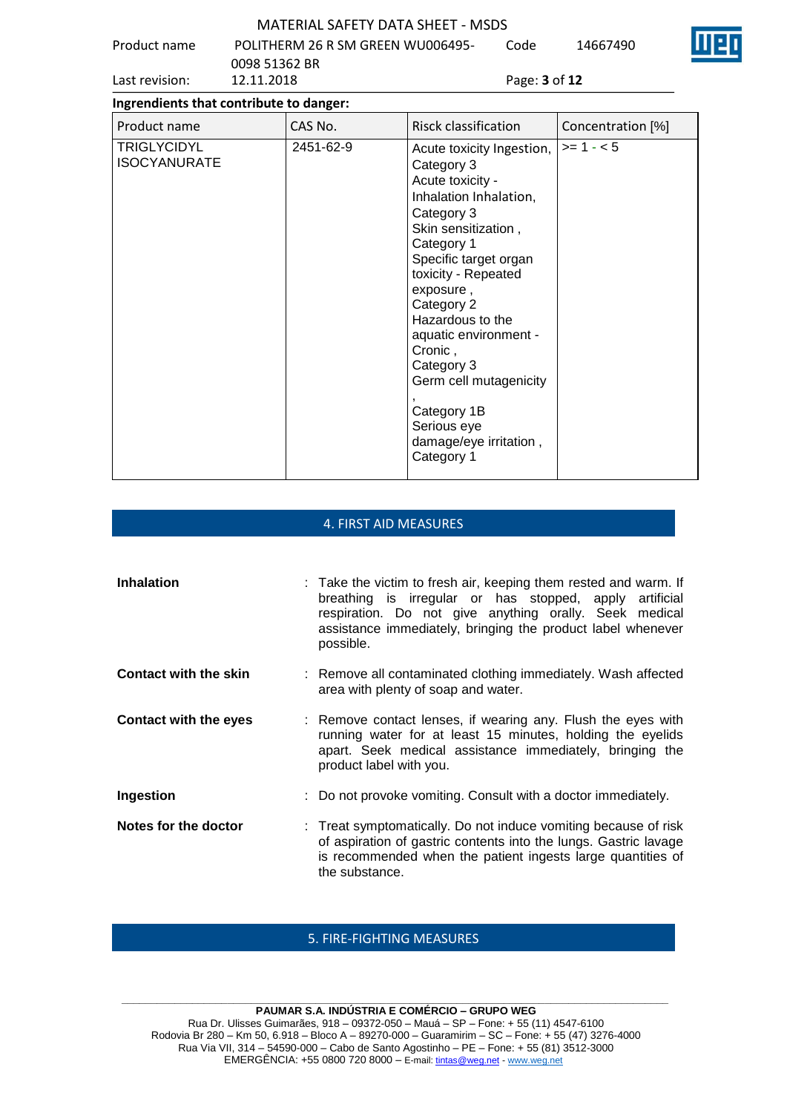Product name POLITHERM 26 R SM GREEN WU006495- Code 14667490

|                | 0098 51362 BR |                             |
|----------------|---------------|-----------------------------|
| Last revision: | 12.11.2018    | Page: <b>3</b> of <b>12</b> |

| Ingrendients that contribute to danger:   |           |                                                                                                                                                                                                                                                                                                                                                                                           |                   |  |
|-------------------------------------------|-----------|-------------------------------------------------------------------------------------------------------------------------------------------------------------------------------------------------------------------------------------------------------------------------------------------------------------------------------------------------------------------------------------------|-------------------|--|
| Product name                              | CAS No.   | Risck classification                                                                                                                                                                                                                                                                                                                                                                      | Concentration [%] |  |
| <b>TRIGLYCIDYL</b><br><b>ISOCYANURATE</b> | 2451-62-9 | Acute toxicity Ingestion,<br>Category 3<br>Acute toxicity -<br>Inhalation Inhalation,<br>Category 3<br>Skin sensitization,<br>Category 1<br>Specific target organ<br>toxicity - Repeated<br>exposure,<br>Category 2<br>Hazardous to the<br>aquatic environment -<br>Cronic,<br>Category 3<br>Germ cell mutagenicity<br>Category 1B<br>Serious eye<br>damage/eye irritation,<br>Category 1 | $>= 1 - 5$        |  |

#### 4. FIRST AID MEASURES

| <b>Inhalation</b>            | : Take the victim to fresh air, keeping them rested and warm. If<br>breathing is irregular or has stopped, apply artificial<br>respiration. Do not give anything orally. Seek medical<br>assistance immediately, bringing the product label whenever<br>possible. |
|------------------------------|-------------------------------------------------------------------------------------------------------------------------------------------------------------------------------------------------------------------------------------------------------------------|
| <b>Contact with the skin</b> | : Remove all contaminated clothing immediately. Wash affected<br>area with plenty of soap and water.                                                                                                                                                              |
| <b>Contact with the eyes</b> | : Remove contact lenses, if wearing any. Flush the eyes with<br>running water for at least 15 minutes, holding the eyelids<br>apart. Seek medical assistance immediately, bringing the<br>product label with you.                                                 |
| Ingestion                    | : Do not provoke vomiting. Consult with a doctor immediately.                                                                                                                                                                                                     |
| Notes for the doctor         | : Treat symptomatically. Do not induce vomiting because of risk<br>of aspiration of gastric contents into the lungs. Gastric lavage<br>is recommended when the patient ingests large quantities of<br>the substance.                                              |

#### 5. FIRE-FIGHTING MEASURES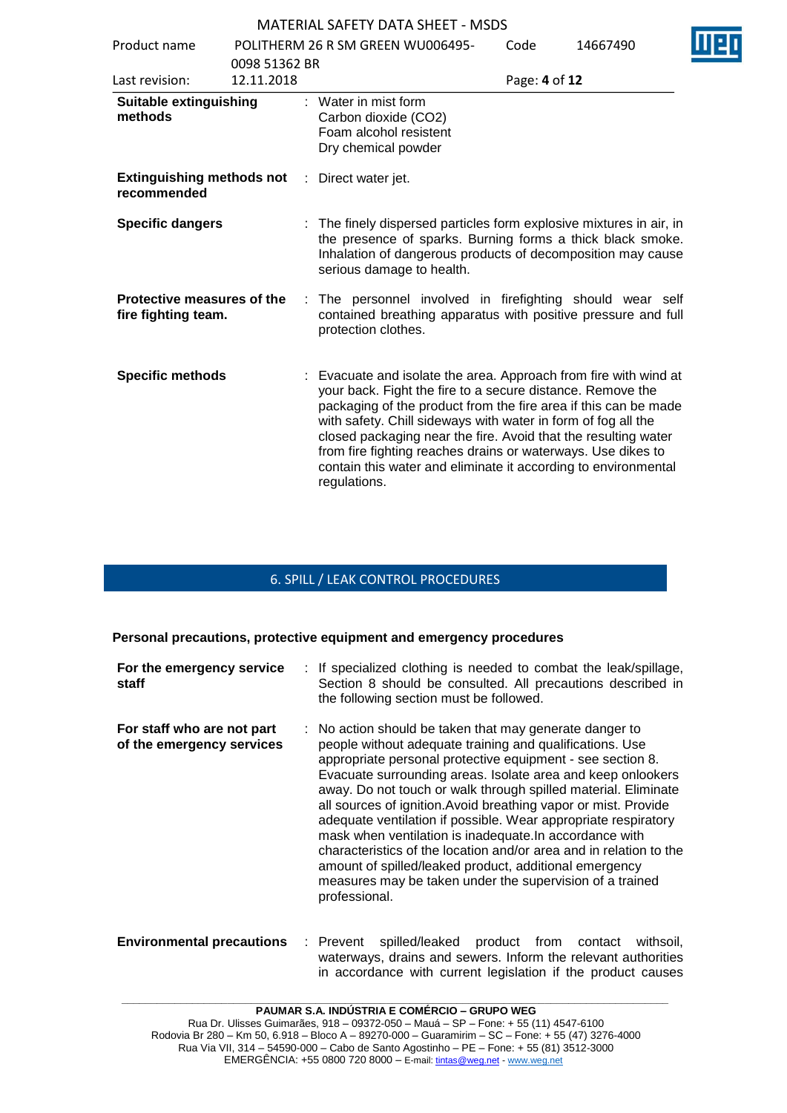| Product name                                      | POLITHERM 26 R SM GREEN WU006495- |                      | Code                                                                  | 14667490      |                                                                                                                                                                                                                                                                                                                                                                                                                                                                        |  |
|---------------------------------------------------|-----------------------------------|----------------------|-----------------------------------------------------------------------|---------------|------------------------------------------------------------------------------------------------------------------------------------------------------------------------------------------------------------------------------------------------------------------------------------------------------------------------------------------------------------------------------------------------------------------------------------------------------------------------|--|
|                                                   | 0098 51362 BR                     |                      |                                                                       |               |                                                                                                                                                                                                                                                                                                                                                                                                                                                                        |  |
| Last revision:                                    | 12.11.2018                        |                      |                                                                       | Page: 4 of 12 |                                                                                                                                                                                                                                                                                                                                                                                                                                                                        |  |
| <b>Suitable extinguishing</b><br>methods          |                                   | : Water in mist form | Carbon dioxide (CO2)<br>Foam alcohol resistent<br>Dry chemical powder |               |                                                                                                                                                                                                                                                                                                                                                                                                                                                                        |  |
| <b>Extinguishing methods not</b><br>recommended   |                                   | : Direct water jet.  |                                                                       |               |                                                                                                                                                                                                                                                                                                                                                                                                                                                                        |  |
| <b>Specific dangers</b>                           |                                   |                      | serious damage to health.                                             |               | : The finely dispersed particles form explosive mixtures in air, in<br>the presence of sparks. Burning forms a thick black smoke.<br>Inhalation of dangerous products of decomposition may cause                                                                                                                                                                                                                                                                       |  |
| Protective measures of the<br>fire fighting team. |                                   | protection clothes.  |                                                                       |               | : The personnel involved in firefighting should wear self<br>contained breathing apparatus with positive pressure and full                                                                                                                                                                                                                                                                                                                                             |  |
| <b>Specific methods</b>                           |                                   | regulations.         |                                                                       |               | : Evacuate and isolate the area. Approach from fire with wind at<br>your back. Fight the fire to a secure distance. Remove the<br>packaging of the product from the fire area if this can be made<br>with safety. Chill sideways with water in form of fog all the<br>closed packaging near the fire. Avoid that the resulting water<br>from fire fighting reaches drains or waterways. Use dikes to<br>contain this water and eliminate it according to environmental |  |

#### 6. SPILL / LEAK CONTROL PROCEDURES

#### **Personal precautions, protective equipment and emergency procedures**

| For the emergency service<br>staff                      | : If specialized clothing is needed to combat the leak/spillage,<br>Section 8 should be consulted. All precautions described in<br>the following section must be followed.                                                                                                                                                                                                                                                                                                                                                                                                                                                                                                                                                      |
|---------------------------------------------------------|---------------------------------------------------------------------------------------------------------------------------------------------------------------------------------------------------------------------------------------------------------------------------------------------------------------------------------------------------------------------------------------------------------------------------------------------------------------------------------------------------------------------------------------------------------------------------------------------------------------------------------------------------------------------------------------------------------------------------------|
| For staff who are not part<br>of the emergency services | : No action should be taken that may generate danger to<br>people without adequate training and qualifications. Use<br>appropriate personal protective equipment - see section 8.<br>Evacuate surrounding areas. Isolate area and keep onlookers<br>away. Do not touch or walk through spilled material. Eliminate<br>all sources of ignition. Avoid breathing vapor or mist. Provide<br>adequate ventilation if possible. Wear appropriate respiratory<br>mask when ventilation is inadequate. In accordance with<br>characteristics of the location and/or area and in relation to the<br>amount of spilled/leaked product, additional emergency<br>measures may be taken under the supervision of a trained<br>professional. |

#### **Environmental precautions** : Prevent spilled/leaked product from contact withsoil, waterways, drains and sewers. Inform the relevant authorities in accordance with current legislation if the product causes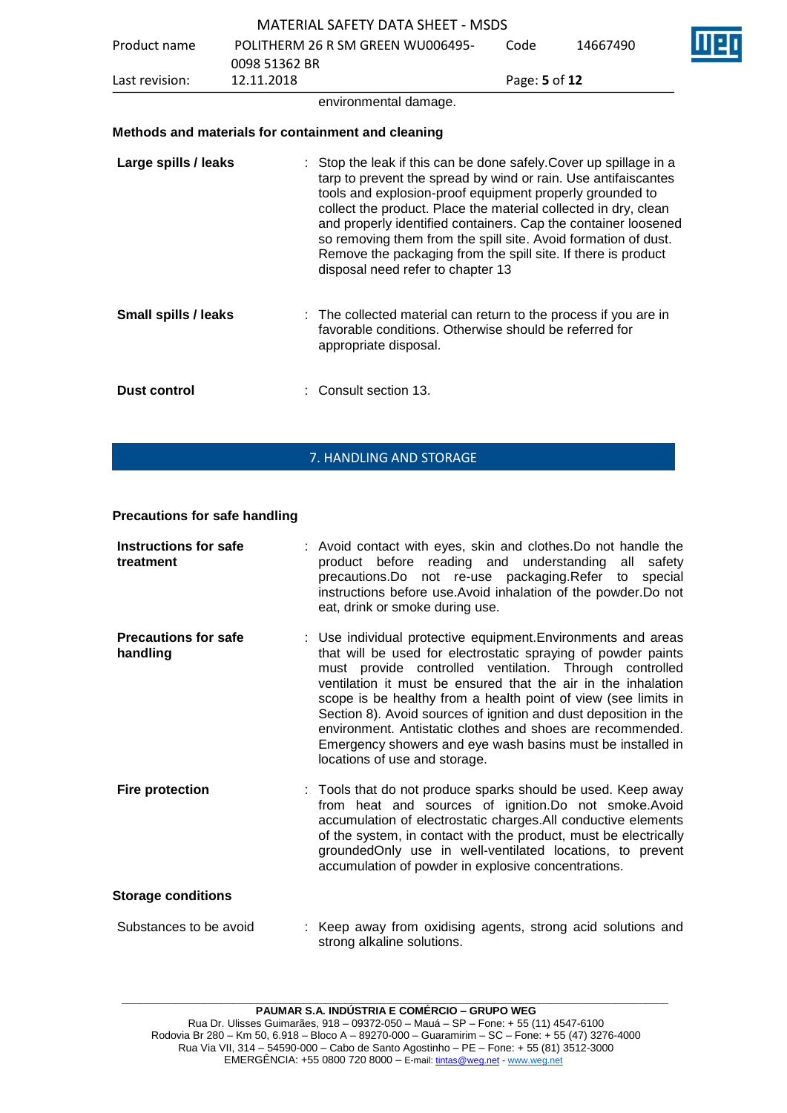|                             |               | <b>MATERIAL SAFETY DATA SHEET - MSDS</b>                                                                                                                                                                                                                                                                                                                                                                                                                                                                      |               |          |  |
|-----------------------------|---------------|---------------------------------------------------------------------------------------------------------------------------------------------------------------------------------------------------------------------------------------------------------------------------------------------------------------------------------------------------------------------------------------------------------------------------------------------------------------------------------------------------------------|---------------|----------|--|
| Product name                |               | POLITHERM 26 R SM GREEN WU006495-                                                                                                                                                                                                                                                                                                                                                                                                                                                                             | Code          | 14667490 |  |
|                             | 0098 51362 BR |                                                                                                                                                                                                                                                                                                                                                                                                                                                                                                               |               |          |  |
| Last revision:              | 12.11.2018    |                                                                                                                                                                                                                                                                                                                                                                                                                                                                                                               | Page: 5 of 12 |          |  |
|                             |               | environmental damage.                                                                                                                                                                                                                                                                                                                                                                                                                                                                                         |               |          |  |
|                             |               | Methods and materials for containment and cleaning                                                                                                                                                                                                                                                                                                                                                                                                                                                            |               |          |  |
| Large spills / leaks        |               | : Stop the leak if this can be done safely. Cover up spillage in a<br>tarp to prevent the spread by wind or rain. Use antifaiscantes<br>tools and explosion-proof equipment properly grounded to<br>collect the product. Place the material collected in dry, clean<br>and properly identified containers. Cap the container loosened<br>so removing them from the spill site. Avoid formation of dust.<br>Remove the packaging from the spill site. If there is product<br>disposal need refer to chapter 13 |               |          |  |
| <b>Small spills / leaks</b> |               | : The collected material can return to the process if you are in<br>favorable conditions. Otherwise should be referred for<br>appropriate disposal.                                                                                                                                                                                                                                                                                                                                                           |               |          |  |
| <b>Dust control</b>         |               | Consult section 13.                                                                                                                                                                                                                                                                                                                                                                                                                                                                                           |               |          |  |

#### 7. HANDLING AND STORAGE

#### **Precautions for safe handling**

| Instructions for safe<br>treatment      | : Avoid contact with eyes, skin and clothes. Do not handle the<br>product before reading and understanding all<br>safety<br>precautions.Do not re-use packaging.Refer to<br>special<br>instructions before use. Avoid inhalation of the powder. Do not<br>eat, drink or smoke during use.                                                                                                                                                                                                                                                                     |
|-----------------------------------------|---------------------------------------------------------------------------------------------------------------------------------------------------------------------------------------------------------------------------------------------------------------------------------------------------------------------------------------------------------------------------------------------------------------------------------------------------------------------------------------------------------------------------------------------------------------|
| <b>Precautions for safe</b><br>handling | : Use individual protective equipment. Environments and areas<br>that will be used for electrostatic spraying of powder paints<br>must provide controlled ventilation. Through controlled<br>ventilation it must be ensured that the air in the inhalation<br>scope is be healthy from a health point of view (see limits in<br>Section 8). Avoid sources of ignition and dust deposition in the<br>environment. Antistatic clothes and shoes are recommended.<br>Emergency showers and eye wash basins must be installed in<br>locations of use and storage. |
| <b>Fire protection</b>                  | : Tools that do not produce sparks should be used. Keep away<br>from heat and sources of ignition.Do not smoke.Avoid<br>accumulation of electrostatic charges. All conductive elements<br>of the system, in contact with the product, must be electrically<br>groundedOnly use in well-ventilated locations, to prevent<br>accumulation of powder in explosive concentrations.                                                                                                                                                                                |
| <b>Storage conditions</b>               |                                                                                                                                                                                                                                                                                                                                                                                                                                                                                                                                                               |
| Substances to be avoid                  | : Keep away from oxidising agents, strong acid solutions and<br>strong alkaline solutions.                                                                                                                                                                                                                                                                                                                                                                                                                                                                    |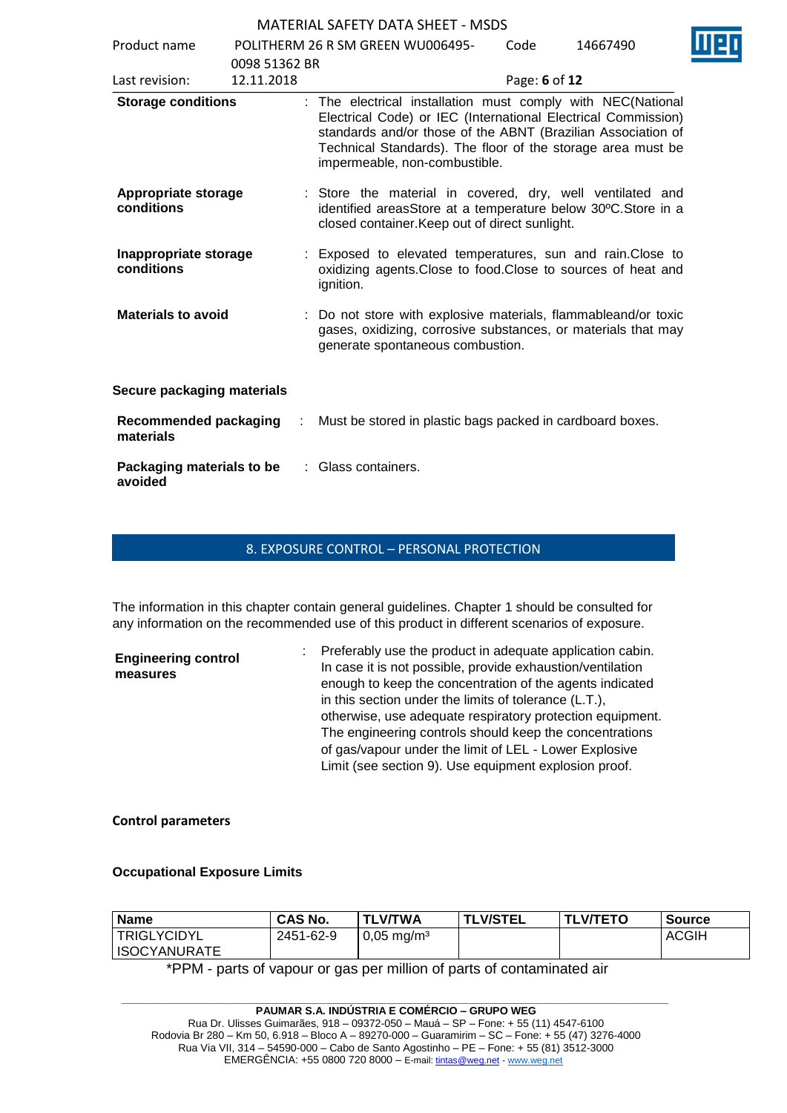| Product name                         |                             | POLITHERM 26 R SM GREEN WU006495-                                                                                                                                                                                                                                                            | Code          | 14667490 |
|--------------------------------------|-----------------------------|----------------------------------------------------------------------------------------------------------------------------------------------------------------------------------------------------------------------------------------------------------------------------------------------|---------------|----------|
| Last revision:                       | 0098 51362 BR<br>12.11.2018 |                                                                                                                                                                                                                                                                                              | Page: 6 of 12 |          |
| <b>Storage conditions</b>            |                             | : The electrical installation must comply with NEC(National<br>Electrical Code) or IEC (International Electrical Commission)<br>standards and/or those of the ABNT (Brazilian Association of<br>Technical Standards). The floor of the storage area must be<br>impermeable, non-combustible. |               |          |
| Appropriate storage<br>conditions    |                             | : Store the material in covered, dry, well ventilated and<br>identified areasStore at a temperature below 30°C.Store in a<br>closed container. Keep out of direct sunlight.                                                                                                                  |               |          |
| Inappropriate storage<br>conditions  |                             | : Exposed to elevated temperatures, sun and rain. Close to<br>oxidizing agents. Close to food. Close to sources of heat and<br>ignition.                                                                                                                                                     |               |          |
| <b>Materials to avoid</b>            |                             | : Do not store with explosive materials, flammableand/or toxic<br>gases, oxidizing, corrosive substances, or materials that may<br>generate spontaneous combustion.                                                                                                                          |               |          |
| Secure packaging materials           |                             |                                                                                                                                                                                                                                                                                              |               |          |
| Recommended packaging<br>materials   | ÷                           | Must be stored in plastic bags packed in cardboard boxes.                                                                                                                                                                                                                                    |               |          |
| Packaging materials to be<br>avoided |                             | : Glass containers.                                                                                                                                                                                                                                                                          |               |          |

#### 8. EXPOSURE CONTROL – PERSONAL PROTECTION

The information in this chapter contain general guidelines. Chapter 1 should be consulted for any information on the recommended use of this product in different scenarios of exposure.

| <b>Engineering control</b><br>measures | : Preferably use the product in adequate application cabin.<br>In case it is not possible, provide exhaustion/ventilation |
|----------------------------------------|---------------------------------------------------------------------------------------------------------------------------|
|                                        | enough to keep the concentration of the agents indicated                                                                  |
|                                        | in this section under the limits of tolerance (L.T.),                                                                     |
|                                        | otherwise, use adequate respiratory protection equipment.                                                                 |
|                                        | The engineering controls should keep the concentrations                                                                   |
|                                        | of gas/vapour under the limit of LEL - Lower Explosive                                                                    |
|                                        | Limit (see section 9). Use equipment explosion proof.                                                                     |

#### **Control parameters**

#### **Occupational Exposure Limits**

| <b>Name</b>         | <b>CAS No.</b> | <b>TLV/TWA</b>        | <b>TLV/STEL</b> | <b>TLV/TETO</b> | <b>Source</b> |
|---------------------|----------------|-----------------------|-----------------|-----------------|---------------|
| <b>TRIGLYCIDYL</b>  | 2451-62-9      | $0,05 \text{ mg/m}^3$ |                 |                 | <b>ACGIH</b>  |
| <b>ISOCYANURATE</b> |                |                       |                 |                 |               |

\*PPM - parts of vapour or gas per million of parts of contaminated air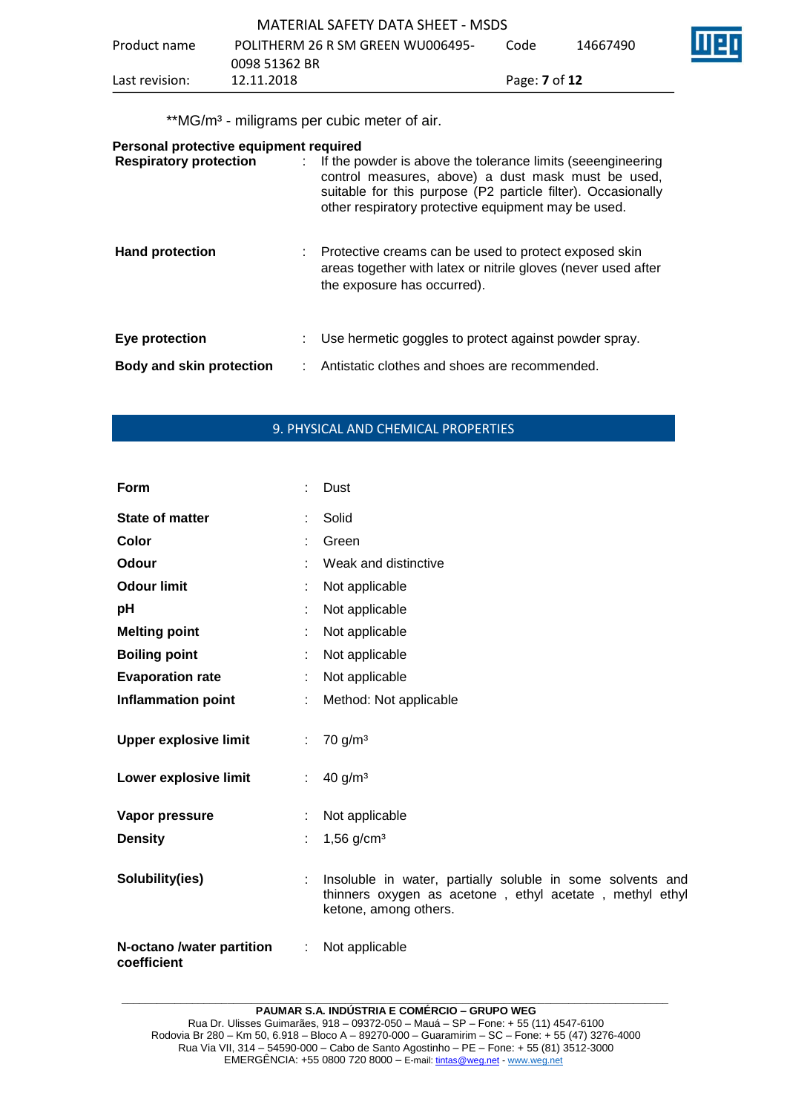|                | MATERIAL SAFETY DATA SHEET - MSDS |                             |          |     |
|----------------|-----------------------------------|-----------------------------|----------|-----|
| Product name   | POLITHERM 26 R SM GREEN WU006495- | Code                        | 14667490 | Wer |
|                | 0098 51362 BR                     |                             |          |     |
| Last revision: | 12.11.2018                        | Page: <b>7</b> of <b>12</b> |          |     |

\*\*MG/m<sup>3</sup> - miligrams per cubic meter of air.

| Personal protective equipment required |  |                                                                                                                                                                                                                                            |  |  |  |  |
|----------------------------------------|--|--------------------------------------------------------------------------------------------------------------------------------------------------------------------------------------------------------------------------------------------|--|--|--|--|
| <b>Respiratory protection</b>          |  | : If the powder is above the tolerance limits (seeengineering<br>control measures, above) a dust mask must be used,<br>suitable for this purpose (P2 particle filter). Occasionally<br>other respiratory protective equipment may be used. |  |  |  |  |
| <b>Hand protection</b>                 |  | : Protective creams can be used to protect exposed skin<br>areas together with latex or nitrile gloves (never used after<br>the exposure has occurred).                                                                                    |  |  |  |  |
| Eye protection                         |  | Use hermetic goggles to protect against powder spray.                                                                                                                                                                                      |  |  |  |  |
| <b>Body and skin protection</b>        |  | Antistatic clothes and shoes are recommended.                                                                                                                                                                                              |  |  |  |  |

# 9. PHYSICAL AND CHEMICAL PROPERTIES

| Form                                     |    | Dust                                                                                                                                           |
|------------------------------------------|----|------------------------------------------------------------------------------------------------------------------------------------------------|
| <b>State of matter</b>                   |    | Solid                                                                                                                                          |
| Color                                    | t. | Green                                                                                                                                          |
| Odour                                    |    | Weak and distinctive                                                                                                                           |
| <b>Odour limit</b>                       |    | Not applicable                                                                                                                                 |
| pH                                       |    | Not applicable                                                                                                                                 |
| <b>Melting point</b>                     |    | Not applicable                                                                                                                                 |
| <b>Boiling point</b>                     | ÷  | Not applicable                                                                                                                                 |
| <b>Evaporation rate</b>                  |    | Not applicable                                                                                                                                 |
| <b>Inflammation point</b>                |    | Method: Not applicable                                                                                                                         |
| <b>Upper explosive limit</b>             | ÷. | 70 g/m <sup>3</sup>                                                                                                                            |
| Lower explosive limit                    | ÷. | 40 g/m <sup>3</sup>                                                                                                                            |
| Vapor pressure<br><b>Density</b>         | t. | Not applicable<br>$1,56$ g/cm <sup>3</sup>                                                                                                     |
| Solubility(ies)                          |    | Insoluble in water, partially soluble in some solvents and<br>thinners oxygen as acetone, ethyl acetate, methyl ethyl<br>ketone, among others. |
| N-octano /water partition<br>coefficient | ÷  | Not applicable                                                                                                                                 |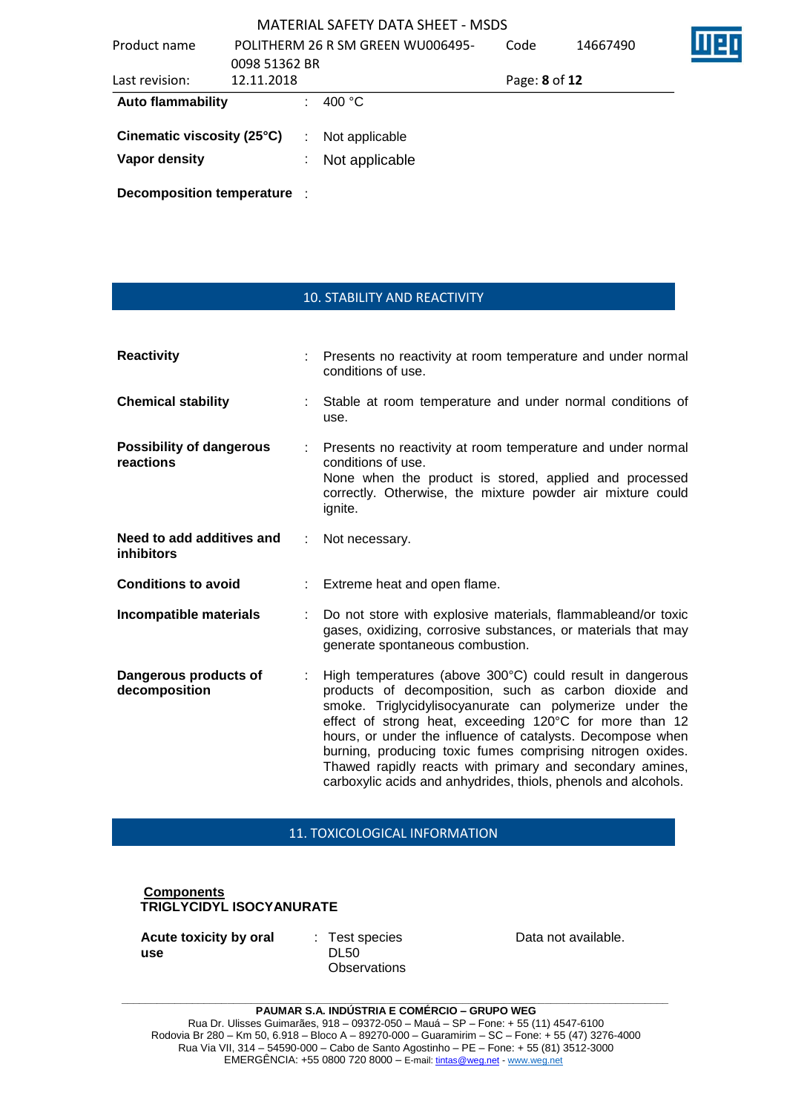| Product name               |               |   | POLITHERM 26 R SM GREEN WU006495- | Code          | 14667490 |  |
|----------------------------|---------------|---|-----------------------------------|---------------|----------|--|
|                            | 0098 51362 BR |   |                                   |               |          |  |
| Last revision:             | 12.11.2018    |   |                                   | Page: 8 of 12 |          |  |
| <b>Auto flammability</b>   |               |   | 400 °C                            |               |          |  |
| Cinematic viscosity (25°C) |               | ÷ | Not applicable                    |               |          |  |
| Vapor density              |               |   | Not applicable                    |               |          |  |
|                            |               |   |                                   |               |          |  |

**Decomposition temperature** :

## 10. STABILITY AND REACTIVITY

| <b>Reactivity</b>                              | Presents no reactivity at room temperature and under normal<br>conditions of use.                                                                                                                                                                                                                                                                                                                                                                                                                  |
|------------------------------------------------|----------------------------------------------------------------------------------------------------------------------------------------------------------------------------------------------------------------------------------------------------------------------------------------------------------------------------------------------------------------------------------------------------------------------------------------------------------------------------------------------------|
| <b>Chemical stability</b>                      | Stable at room temperature and under normal conditions of<br>use.                                                                                                                                                                                                                                                                                                                                                                                                                                  |
| <b>Possibility of dangerous</b><br>reactions   | Presents no reactivity at room temperature and under normal<br>conditions of use.<br>None when the product is stored, applied and processed<br>correctly. Otherwise, the mixture powder air mixture could<br>ignite.                                                                                                                                                                                                                                                                               |
| Need to add additives and<br><i>inhibitors</i> | Not necessary.                                                                                                                                                                                                                                                                                                                                                                                                                                                                                     |
| <b>Conditions to avoid</b>                     | Extreme heat and open flame.                                                                                                                                                                                                                                                                                                                                                                                                                                                                       |
| Incompatible materials                         | Do not store with explosive materials, flammableand/or toxic<br>gases, oxidizing, corrosive substances, or materials that may<br>generate spontaneous combustion.                                                                                                                                                                                                                                                                                                                                  |
| Dangerous products of<br>decomposition         | High temperatures (above 300°C) could result in dangerous<br>products of decomposition, such as carbon dioxide and<br>smoke. Triglycidylisocyanurate can polymerize under the<br>effect of strong heat, exceeding 120°C for more than 12<br>hours, or under the influence of catalysts. Decompose when<br>burning, producing toxic fumes comprising nitrogen oxides.<br>Thawed rapidly reacts with primary and secondary amines,<br>carboxylic acids and anhydrides, thiols, phenols and alcohols. |

### 11. TOXICOLOGICAL INFORMATION

#### **Components TRIGLYCIDYL ISOCYANURATE**

**Acute toxicity by oral use**

: Test species DL50 **Observations**  Data not available.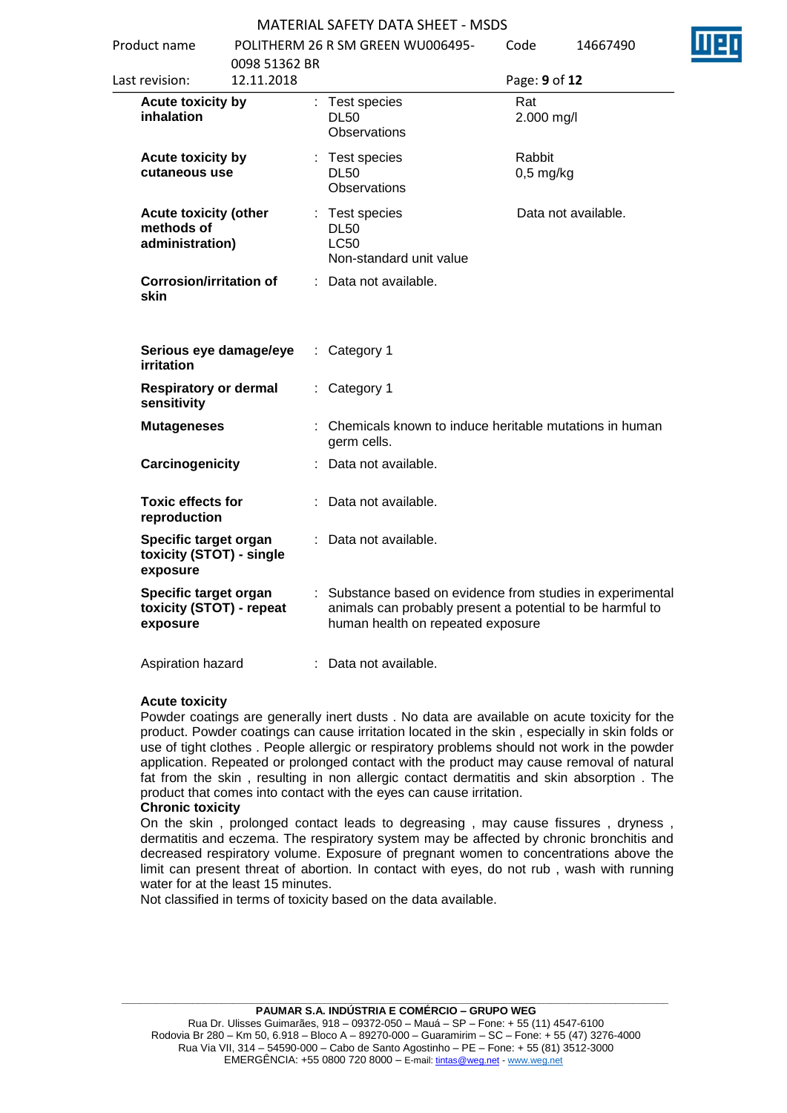#### MATERIAL SAFETY DATA SHEET - MSDS Product name POLITHERM 26 R SM GREEN WU006495-

| Product name                                                  |                             | POLITHERM 26 R SM GREEN WU006495-                                                                                                                            | Code                  | 14667490 |
|---------------------------------------------------------------|-----------------------------|--------------------------------------------------------------------------------------------------------------------------------------------------------------|-----------------------|----------|
| Last revision:                                                | 0098 51362 BR<br>12.11.2018 |                                                                                                                                                              | Page: 9 of 12         |          |
| <b>Acute toxicity by</b><br>inhalation                        |                             | : Test species<br><b>DL50</b><br><b>Observations</b>                                                                                                         | Rat<br>2.000 mg/l     |          |
| Acute toxicity by<br>cutaneous use                            |                             | : Test species<br><b>DL50</b><br>Observations                                                                                                                | Rabbit<br>$0,5$ mg/kg |          |
| <b>Acute toxicity (other</b><br>methods of<br>administration) |                             | : Test species<br><b>DL50</b><br><b>LC50</b><br>Non-standard unit value                                                                                      | Data not available.   |          |
| <b>Corrosion/irritation of</b><br>skin                        |                             | : Data not available.                                                                                                                                        |                       |          |
| Serious eye damage/eye<br><b>irritation</b>                   |                             | $:$ Category 1                                                                                                                                               |                       |          |
| <b>Respiratory or dermal</b><br>sensitivity                   |                             | : Category 1                                                                                                                                                 |                       |          |
| <b>Mutageneses</b>                                            |                             | : Chemicals known to induce heritable mutations in human<br>germ cells.                                                                                      |                       |          |
| Carcinogenicity                                               |                             | : Data not available.                                                                                                                                        |                       |          |
| <b>Toxic effects for</b><br>reproduction                      |                             | : Data not available.                                                                                                                                        |                       |          |
| Specific target organ<br>toxicity (STOT) - single<br>exposure |                             | : Data not available.                                                                                                                                        |                       |          |
| Specific target organ<br>toxicity (STOT) - repeat<br>exposure |                             | : Substance based on evidence from studies in experimental<br>animals can probably present a potential to be harmful to<br>human health on repeated exposure |                       |          |
| Aspiration hazard                                             |                             | Data not available.                                                                                                                                          |                       |          |

#### **Acute toxicity**

Powder coatings are generally inert dusts . No data are available on acute toxicity for the product. Powder coatings can cause irritation located in the skin , especially in skin folds or use of tight clothes . People allergic or respiratory problems should not work in the powder application. Repeated or prolonged contact with the product may cause removal of natural fat from the skin , resulting in non allergic contact dermatitis and skin absorption . The product that comes into contact with the eyes can cause irritation.

#### **Chronic toxicity**

On the skin , prolonged contact leads to degreasing , may cause fissures , dryness , dermatitis and eczema. The respiratory system may be affected by chronic bronchitis and decreased respiratory volume. Exposure of pregnant women to concentrations above the limit can present threat of abortion. In contact with eyes, do not rub , wash with running water for at the least 15 minutes.

Not classified in terms of toxicity based on the data available.

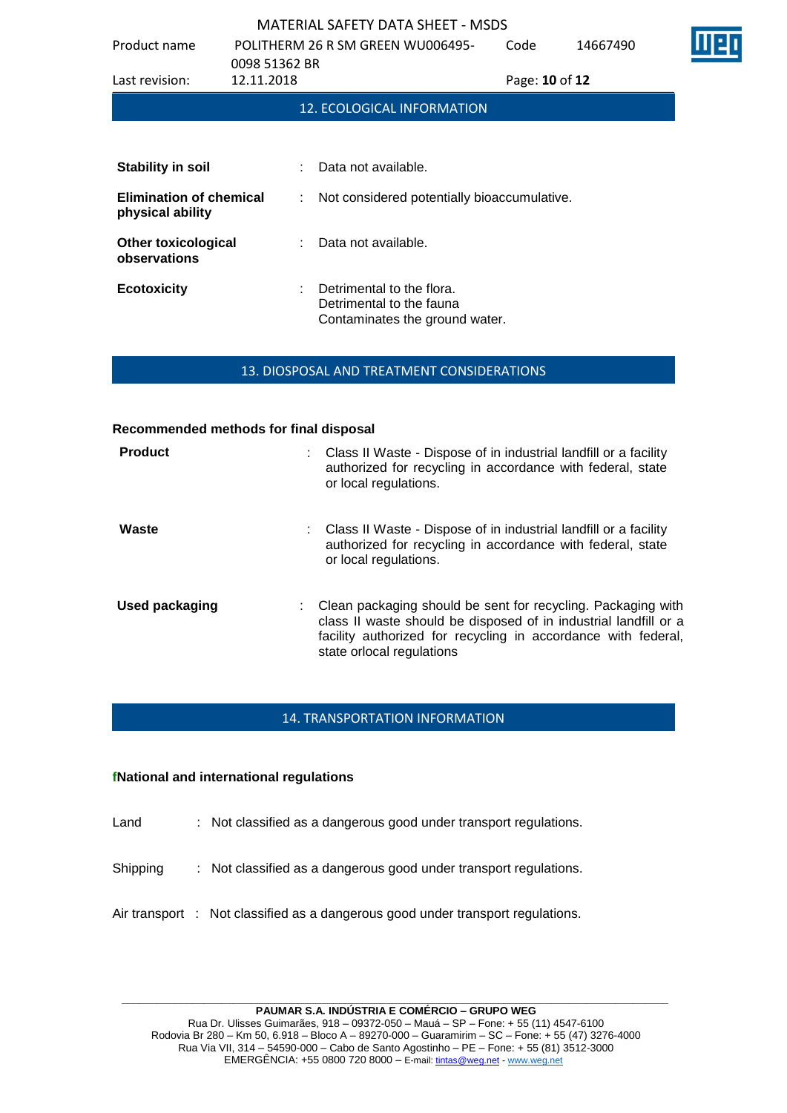| Product name                                       | 0098 51362 BR |    | POLITHERM 26 R SM GREEN WU006495-                                                       | Code           | 14667490 |  |
|----------------------------------------------------|---------------|----|-----------------------------------------------------------------------------------------|----------------|----------|--|
| Last revision:                                     | 12.11.2018    |    |                                                                                         | Page: 10 of 12 |          |  |
|                                                    |               |    | 12. ECOLOGICAL INFORMATION                                                              |                |          |  |
|                                                    |               |    |                                                                                         |                |          |  |
| <b>Stability in soil</b>                           |               | t. | Data not available.                                                                     |                |          |  |
| <b>Elimination of chemical</b><br>physical ability |               | t. | Not considered potentially bioaccumulative.                                             |                |          |  |
| <b>Other toxicological</b><br>observations         |               |    | Data not available.                                                                     |                |          |  |
| <b>Ecotoxicity</b>                                 |               | ÷  | Detrimental to the flora.<br>Detrimental to the fauna<br>Contaminates the ground water. |                |          |  |

#### 13. DIOSPOSAL AND TREATMENT CONSIDERATIONS

#### **Recommended methods for final disposal**

| <b>Product</b> | : Class II Waste - Dispose of in industrial landfill or a facility<br>authorized for recycling in accordance with federal, state<br>or local regulations.                                                                      |
|----------------|--------------------------------------------------------------------------------------------------------------------------------------------------------------------------------------------------------------------------------|
| Waste          | : Class II Waste - Dispose of in industrial landfill or a facility<br>authorized for recycling in accordance with federal, state<br>or local regulations.                                                                      |
| Used packaging | Clean packaging should be sent for recycling. Packaging with<br>class II waste should be disposed of in industrial landfill or a<br>facility authorized for recycling in accordance with federal,<br>state orlocal regulations |

#### 14. TRANSPORTATION INFORMATION

#### **fNational and international regulations**

- Land : Not classified as a dangerous good under transport regulations.
- Shipping : Not classified as a dangerous good under transport regulations.
- Air transport : Not classified as a dangerous good under transport regulations.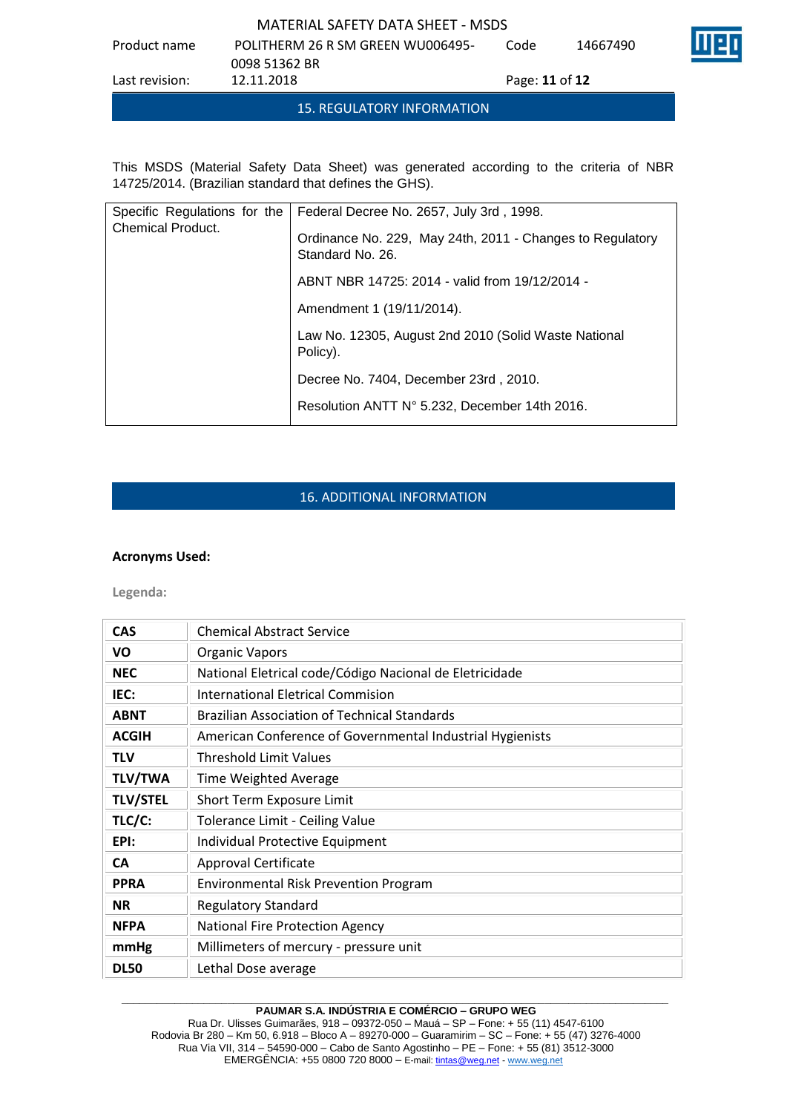Product name POLITHERM 26 R SM GREEN WU006495- 0098 51362 BR Code 14667490 Last revision: 12.11.2018 Page: **11** of **12**

15. REGULATORY INFORMATION

This MSDS (Material Safety Data Sheet) was generated according to the criteria of NBR 14725/2014. (Brazilian standard that defines the GHS).

| Specific Regulations for the | Federal Decree No. 2657, July 3rd, 1998.                                      |
|------------------------------|-------------------------------------------------------------------------------|
| <b>Chemical Product.</b>     | Ordinance No. 229, May 24th, 2011 - Changes to Regulatory<br>Standard No. 26. |
|                              | ABNT NBR 14725: 2014 - valid from 19/12/2014 -                                |
|                              | Amendment 1 (19/11/2014).                                                     |
|                              | Law No. 12305, August 2nd 2010 (Solid Waste National<br>Policy).              |
|                              | Decree No. 7404, December 23rd, 2010.                                         |
|                              | Resolution ANTT N° 5.232, December 14th 2016.                                 |

# 16. ADDITIONAL INFORMATION

#### **Acronyms Used:**

**Legenda:**

| <b>CAS</b>      | <b>Chemical Abstract Service</b>                          |
|-----------------|-----------------------------------------------------------|
| VO              | <b>Organic Vapors</b>                                     |
| <b>NEC</b>      | National Eletrical code/Código Nacional de Eletricidade   |
| IEC:            | International Eletrical Commision                         |
| <b>ABNT</b>     | <b>Brazilian Association of Technical Standards</b>       |
| <b>ACGIH</b>    | American Conference of Governmental Industrial Hygienists |
| <b>TLV</b>      | <b>Threshold Limit Values</b>                             |
| <b>TLV/TWA</b>  | Time Weighted Average                                     |
| <b>TLV/STEL</b> | Short Term Exposure Limit                                 |
| TLC/C:          | Tolerance Limit - Ceiling Value                           |
| EPI:            | Individual Protective Equipment                           |
| <b>CA</b>       | Approval Certificate                                      |
| <b>PPRA</b>     | <b>Environmental Risk Prevention Program</b>              |
| <b>NR</b>       | <b>Regulatory Standard</b>                                |
| <b>NFPA</b>     | National Fire Protection Agency                           |
| mmHg            | Millimeters of mercury - pressure unit                    |
| <b>DL50</b>     | Lethal Dose average                                       |

#### **\_\_\_\_\_\_\_\_\_\_\_\_\_\_\_\_\_\_\_\_\_\_\_\_\_\_\_\_\_\_\_\_\_\_\_\_\_\_\_\_\_\_\_\_\_\_\_\_\_\_\_\_\_\_\_\_\_\_\_\_\_\_\_\_\_\_\_\_\_\_\_\_\_\_\_\_\_\_\_\_\_\_\_\_\_\_\_\_\_\_\_\_\_ PAUMAR S.A. INDÚSTRIA E COMÉRCIO – GRUPO WEG**